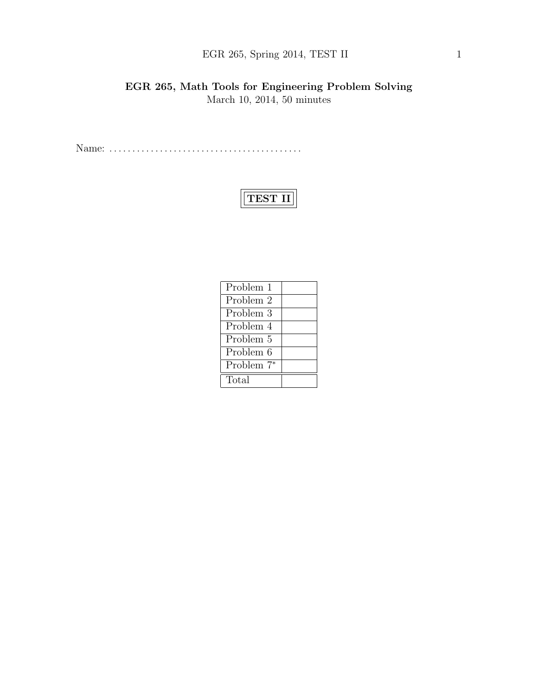## EGR 265, Spring 2014, TEST II 1

### EGR 265, Math Tools for Engineering Problem Solving March 10, 2014, 50 minutes

Name: . . . . . . . . . . . . . . . . . . . . . . . . . . . . . . . . . . . . . . . . . .

# TEST II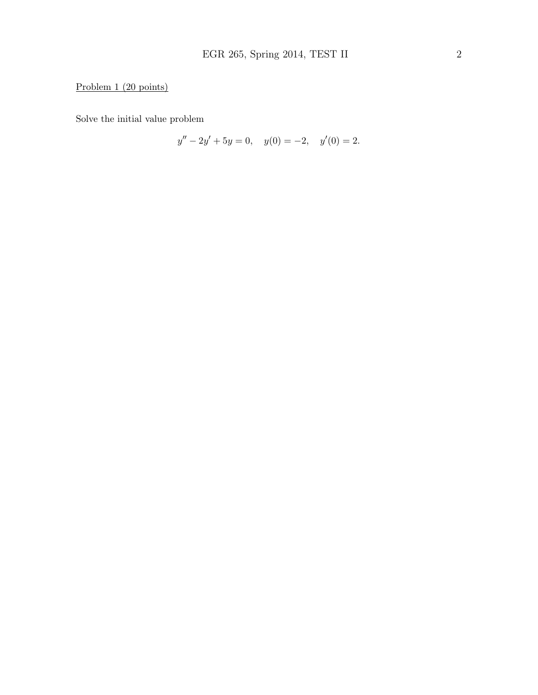### Problem 1 (20 points)

Solve the initial value problem

$$
y'' - 2y' + 5y = 0, \quad y(0) = -2, \quad y'(0) = 2.
$$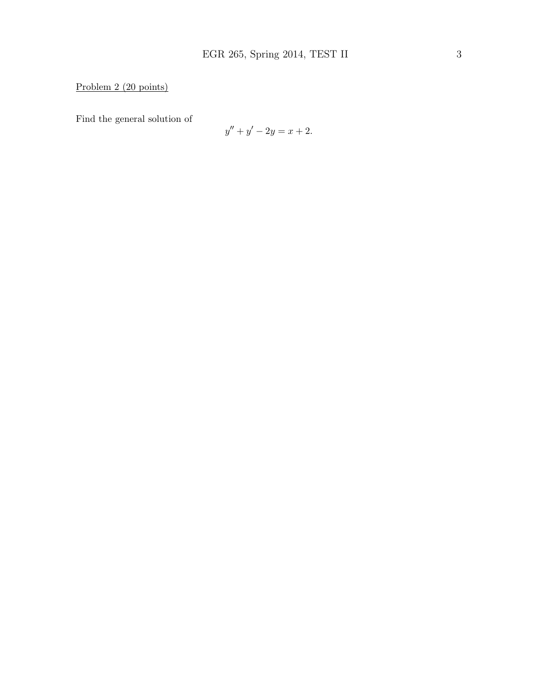### Problem 2 (20 points)

Find the general solution of

$$
y'' + y' - 2y = x + 2.
$$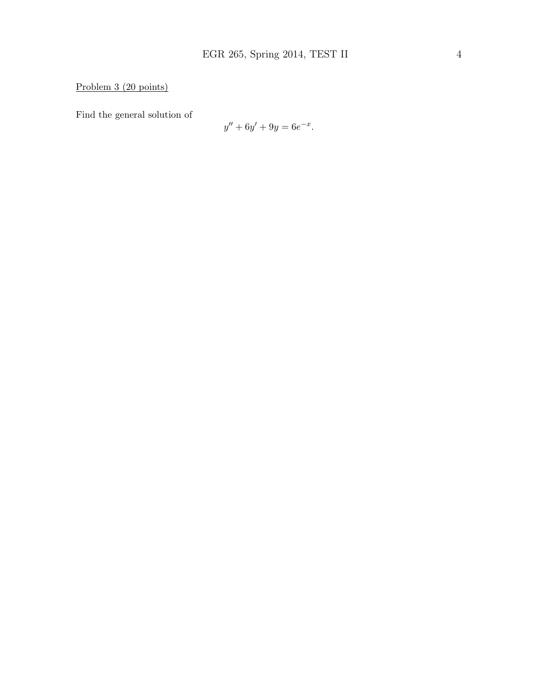Problem 3 (20 points)

Find the general solution of

$$
y'' + 6y' + 9y = 6e^{-x}.
$$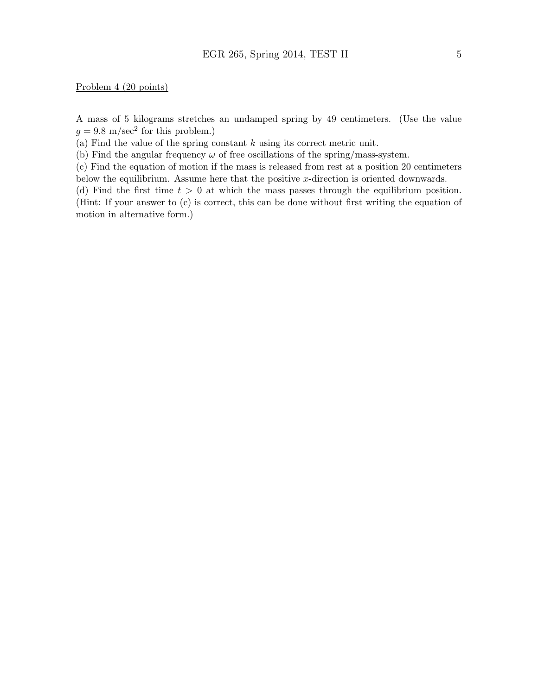#### Problem 4 (20 points)

A mass of 5 kilograms stretches an undamped spring by 49 centimeters. (Use the value  $g = 9.8$  m/sec<sup>2</sup> for this problem.)

(a) Find the value of the spring constant  $k$  using its correct metric unit.

(b) Find the angular frequency  $\omega$  of free oscillations of the spring/mass-system.

(c) Find the equation of motion if the mass is released from rest at a position 20 centimeters below the equilibrium. Assume here that the positive  $x$ -direction is oriented downwards.

(d) Find the first time  $t > 0$  at which the mass passes through the equilibrium position. (Hint: If your answer to (c) is correct, this can be done without first writing the equation of motion in alternative form.)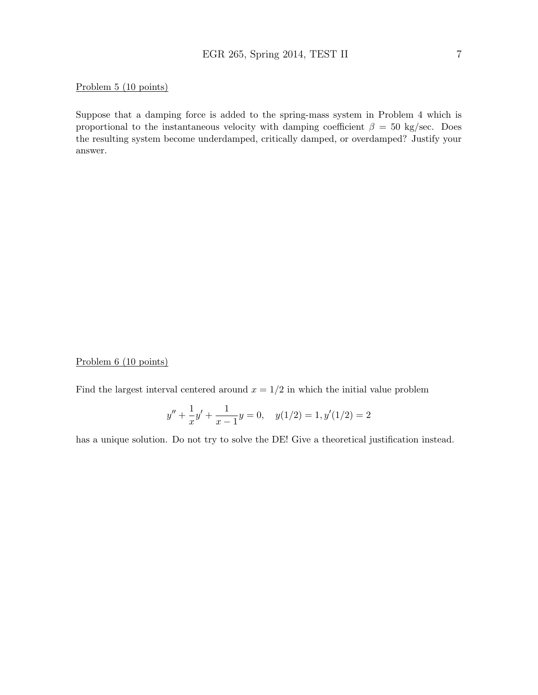#### Problem 5 (10 points)

Suppose that a damping force is added to the spring-mass system in Problem 4 which is proportional to the instantaneous velocity with damping coefficient  $\beta = 50$  kg/sec. Does the resulting system become underdamped, critically damped, or overdamped? Justify your answer.

#### Problem 6 (10 points)

Find the largest interval centered around  $x = 1/2$  in which the initial value problem

$$
y'' + \frac{1}{x}y' + \frac{1}{x-1}y = 0, \quad y(1/2) = 1, y'(1/2) = 2
$$

has a unique solution. Do not try to solve the DE! Give a theoretical justification instead.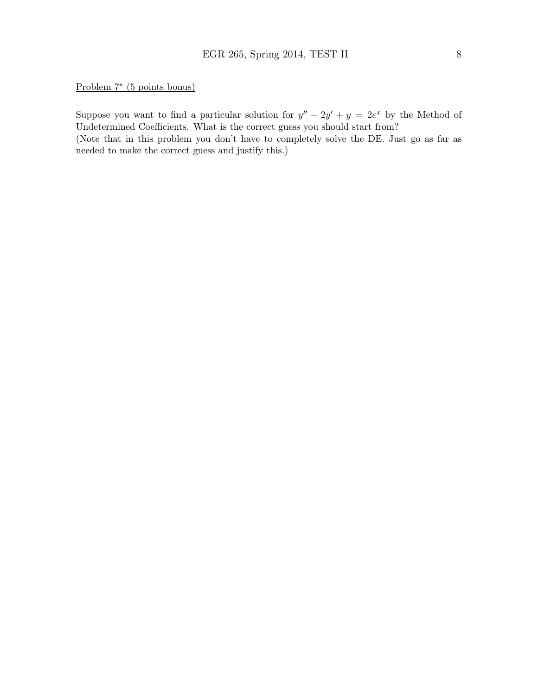Problem 7<sup>∗</sup> (5 points bonus)

Suppose you want to find a particular solution for  $y'' - 2y' + y = 2e^x$  by the Method of Undetermined Coefficients. What is the correct guess you should start from?

(Note that in this problem you don't have to completely solve the DE. Just go as far as needed to make the correct guess and justify this.)